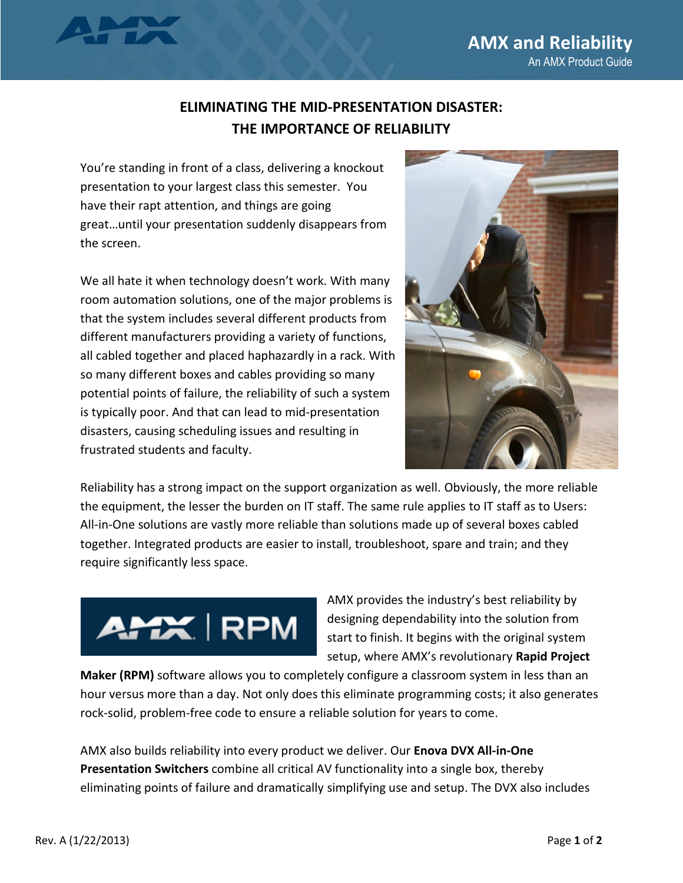## **ELIMINATING THE MID-PRESENTATION DISASTER: THE IMPORTANCE OF RELIABILITY**

You're standing in front of a class, delivering a knockout presentation to your largest class this semester. You have their rapt attention, and things are going great…until your presentation suddenly disappears from the screen.

We all hate it when technology doesn't work. With many room automation solutions, one of the major problems is that the system includes several different products from different manufacturers providing a variety of functions, all cabled together and placed haphazardly in a rack. With so many different boxes and cables providing so many potential points of failure, the reliability of such a system is typically poor. And that can lead to mid-presentation disasters, causing scheduling issues and resulting in frustrated students and faculty.



Reliability has a strong impact on the support organization as well. Obviously, the more reliable the equipment, the lesser the burden on IT staff. The same rule applies to IT staff as to Users: All-in-One solutions are vastly more reliable than solutions made up of several boxes cabled together. Integrated products are easier to install, troubleshoot, spare and train; and they require significantly less space.



AMX provides the industry's best reliability by designing dependability into the solution from start to finish. It begins with the original system setup, where AMX's revolutionary **Rapid Project** 

**Maker (RPM)** software allows you to completely configure a classroom system in less than an hour versus more than a day. Not only does this eliminate programming costs; it also generates rock-solid, problem-free code to ensure a reliable solution for years to come.

AMX also builds reliability into every product we deliver. Our **Enova DVX All-in-One Presentation Switchers** combine all critical AV functionality into a single box, thereby eliminating points of failure and dramatically simplifying use and setup. The DVX also includes